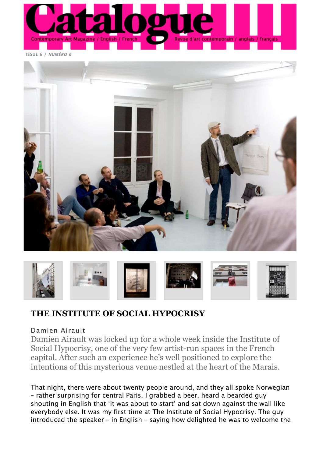

**ISSUE 6 / NUMÉRO 6** 





## **THE INSTITUTE OF SOCIAL HYPOCRISY**

## Damien Airault

Damien Airault was locked up for a whole week inside the Institute of Social Hypocrisy, one of the very few artist-run spaces in the French capital. After such an experience he's well positioned to explore the intentions of this mysterious venue nestled at the heart of the Marais.

That night, there were about twenty people around, and they all spoke Norwegian – rather surprising for central Paris. I grabbed a beer, heard a bearded guy shouting in English that 'it was about to start' and sat down against the wall like everybody else. It was my first time at The Institute of Social Hypocrisy. The guy introduced the speaker – in English – saying how delighted he was to welcome the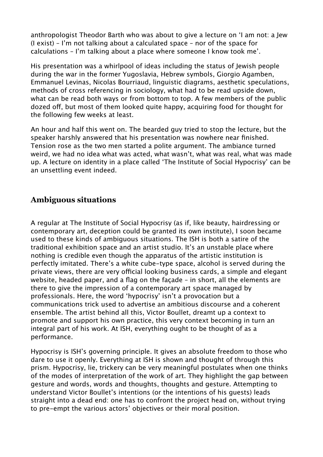anthropologist Theodor Barth who was about to give a lecture on 'I am not: a Jew (I exist) – I'm not talking about a calculated space – nor of the space for calculations – I'm talking about a place where someone I know took me'.

His presentation was a whirlpool of ideas including the status of Jewish people during the war in the former Yugoslavia, Hebrew symbols, Giorgio Agamben, Emmanuel Levinas, Nicolas Bourriaud, linguistic diagrams, aesthetic speculations, methods of cross referencing in sociology, what had to be read upside down, what can be read both ways or from bottom to top. A few members of the public dozed off, but most of them looked quite happy, acquiring food for thought for the following few weeks at least.

An hour and half this went on. The bearded guy tried to stop the lecture, but the speaker harshly answered that his presentation was nowhere near finished. Tension rose as the two men started a polite argument. The ambiance turned weird, we had no idea what was acted, what wasn't, what was real, what was made up. A lecture on identity in a place called 'The Institute of Social Hypocrisy' can be an unsettling event indeed.

## **Ambiguous situations**

A regular at The Institute of Social Hypocrisy (as if, like beauty, hairdressing or contemporary art, deception could be granted its own institute), I soon became used to these kinds of ambiguous situations. The ISH is both a satire of the traditional exhibition space and an artist studio. It's an unstable place where nothing is credible even though the apparatus of the artistic institution is perfectly imitated. There's a white cube-type space, alcohol is served during the private views, there are very official looking business cards, a simple and elegant website, headed paper, and a flag on the façade – in short, all the elements are there to give the impression of a contemporary art space managed by professionals. Here, the word 'hypocrisy' isn't a provocation but a communications trick used to advertise an ambitious discourse and a coherent ensemble. The artist behind all this, Victor Boullet, dreamt up a context to promote and support his own practice, this very context becoming in turn an integral part of his work. At ISH, everything ought to be thought of as a performance.

Hypocrisy is ISH's governing principle. It gives an absolute freedom to those who dare to use it openly. Everything at ISH is shown and thought of through this prism. Hypocrisy, lie, trickery can be very meaningful postulates when one thinks of the modes of interpretation of the work of art. They highlight the gap between gesture and words, words and thoughts, thoughts and gesture. Attempting to understand Victor Boullet's intentions (or the intentions of his guests) leads straight into a dead end: one has to confront the project head on, without trying to pre-empt the various actors' objectives or their moral position.